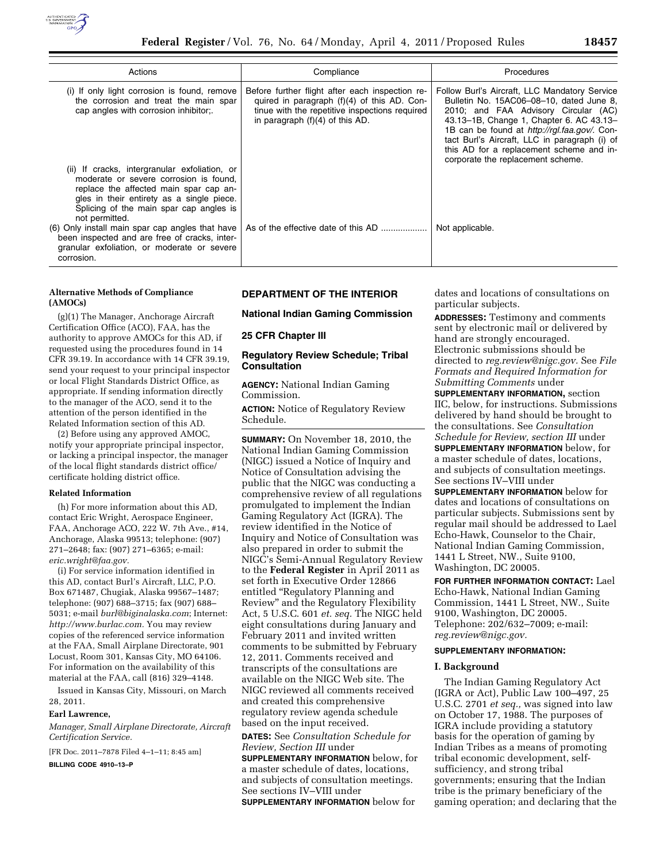

| Compliance                                                                                                                                                                                                                         | <b>Procedures</b>                                                                                                                                                                                                                                                                                                                                               |
|------------------------------------------------------------------------------------------------------------------------------------------------------------------------------------------------------------------------------------|-----------------------------------------------------------------------------------------------------------------------------------------------------------------------------------------------------------------------------------------------------------------------------------------------------------------------------------------------------------------|
| Before further flight after each inspection re-<br>quired in paragraph $(f)(4)$ of this AD. Con-<br>tinue with the repetitive inspections required<br>in paragraph $(f)(4)$ of this AD.                                            | Follow Burl's Aircraft, LLC Mandatory Service<br>Bulletin No. 15AC06-08-10, dated June 8,<br>2010; and FAA Advisory Circular (AC)<br>43.13-1B, Change 1, Chapter 6. AC 43.13-<br>1B can be found at http://rgl.faa.gov/. Con-<br>tact Burl's Aircraft, LLC in paragraph (i) of<br>this AD for a replacement scheme and in-<br>corporate the replacement scheme. |
| As of the effective date of this AD                                                                                                                                                                                                | Not applicable.                                                                                                                                                                                                                                                                                                                                                 |
| (ii) If cracks, intergranular exfoliation, or<br>moderate or severe corrosion is found,<br>Splicing of the main spar cap angles is<br>been inspected and are free of cracks, inter-<br>granular exfoliation, or moderate or severe | (i) If only light corrosion is found, remove<br>the corrosion and treat the main spar<br>(6) Only install main spar cap angles that have                                                                                                                                                                                                                        |

### **Alternative Methods of Compliance (AMOCs)**

(g)(1) The Manager, Anchorage Aircraft Certification Office (ACO), FAA, has the authority to approve AMOCs for this AD, if requested using the procedures found in 14 CFR 39.19. In accordance with 14 CFR 39.19, send your request to your principal inspector or local Flight Standards District Office, as appropriate. If sending information directly to the manager of the ACO, send it to the attention of the person identified in the Related Information section of this AD.

(2) Before using any approved AMOC, notify your appropriate principal inspector, or lacking a principal inspector, the manager of the local flight standards district office/ certificate holding district office.

## **Related Information**

(h) For more information about this AD, contact Eric Wright, Aerospace Engineer, FAA, Anchorage ACO, 222 W. 7th Ave., #14, Anchorage, Alaska 99513; telephone: (907) 271–2648; fax: (907) 271–6365; e-mail: *[eric.wright@faa.gov.](mailto:eric.wright@faa.gov)* 

(i) For service information identified in this AD, contact Burl's Aircraft, LLC, P.O. Box 671487, Chugiak, Alaska 99567–1487; telephone: (907) 688–3715; fax (907) 688– 5031; e-mail *[burl@biginalaska.com](mailto:burl@biginalaska.com)*; Internet: *[http://www.burlac.com.](http://www.burlac.com)* You may review copies of the referenced service information at the FAA, Small Airplane Directorate, 901 Locust, Room 301, Kansas City, MO 64106. For information on the availability of this material at the FAA, call (816) 329–4148.

Issued in Kansas City, Missouri, on March 28, 2011.

#### **Earl Lawrence,**

*Manager, Small Airplane Directorate, Aircraft Certification Service.* 

[FR Doc. 2011–7878 Filed 4–1–11; 8:45 am]

**BILLING CODE 4910–13–P** 

## **DEPARTMENT OF THE INTERIOR**

**National Indian Gaming Commission** 

#### **25 CFR Chapter III**

### **Regulatory Review Schedule; Tribal Consultation**

**AGENCY:** National Indian Gaming Commission.

**ACTION:** Notice of Regulatory Review Schedule.

**SUMMARY:** On November 18, 2010, the National Indian Gaming Commission (NIGC) issued a Notice of Inquiry and Notice of Consultation advising the public that the NIGC was conducting a comprehensive review of all regulations promulgated to implement the Indian Gaming Regulatory Act (IGRA). The review identified in the Notice of Inquiry and Notice of Consultation was also prepared in order to submit the NIGC's Semi-Annual Regulatory Review to the **Federal Register** in April 2011 as set forth in Executive Order 12866 entitled ''Regulatory Planning and Review'' and the Regulatory Flexibility Act, 5 U.S.C. 601 *et. seq.* The NIGC held eight consultations during January and February 2011 and invited written comments to be submitted by February 12, 2011. Comments received and transcripts of the consultations are available on the NIGC Web site. The NIGC reviewed all comments received and created this comprehensive regulatory review agenda schedule based on the input received.

**DATES:** See *Consultation Schedule for Review, Section III* under

**SUPPLEMENTARY INFORMATION** below, for a master schedule of dates, locations, and subjects of consultation meetings. See sections IV–VIII under **SUPPLEMENTARY INFORMATION** below for

dates and locations of consultations on particular subjects.

**ADDRESSES:** Testimony and comments sent by electronic mail or delivered by hand are strongly encouraged. Electronic submissions should be directed to *[reg.review@nigc.gov.](mailto:reg.review@nigc.gov)* See *File Formats and Required Information for Submitting Comments* under

**SUPPLEMENTARY INFORMATION,** section IIC, below, for instructions. Submissions delivered by hand should be brought to the consultations. See *Consultation Schedule for Review, section III* under **SUPPLEMENTARY INFORMATION** below, for a master schedule of dates, locations, and subjects of consultation meetings. See sections IV–VIII under

**SUPPLEMENTARY INFORMATION** below for dates and locations of consultations on particular subjects. Submissions sent by regular mail should be addressed to Lael Echo-Hawk, Counselor to the Chair, National Indian Gaming Commission, 1441 L Street, NW., Suite 9100, Washington, DC 20005.

**FOR FURTHER INFORMATION CONTACT:** Lael Echo-Hawk, National Indian Gaming Commission, 1441 L Street, NW., Suite 9100, Washington, DC 20005. Telephone: 202/632–7009; e-mail: *[reg.review@nigc.gov.](mailto:reg.review@nigc.gov)* 

#### **SUPPLEMENTARY INFORMATION:**

#### **I. Background**

The Indian Gaming Regulatory Act (IGRA or Act), Public Law 100–497, 25 U.S.C. 2701 *et seq.,* was signed into law on October 17, 1988. The purposes of IGRA include providing a statutory basis for the operation of gaming by Indian Tribes as a means of promoting tribal economic development, selfsufficiency, and strong tribal governments; ensuring that the Indian tribe is the primary beneficiary of the gaming operation; and declaring that the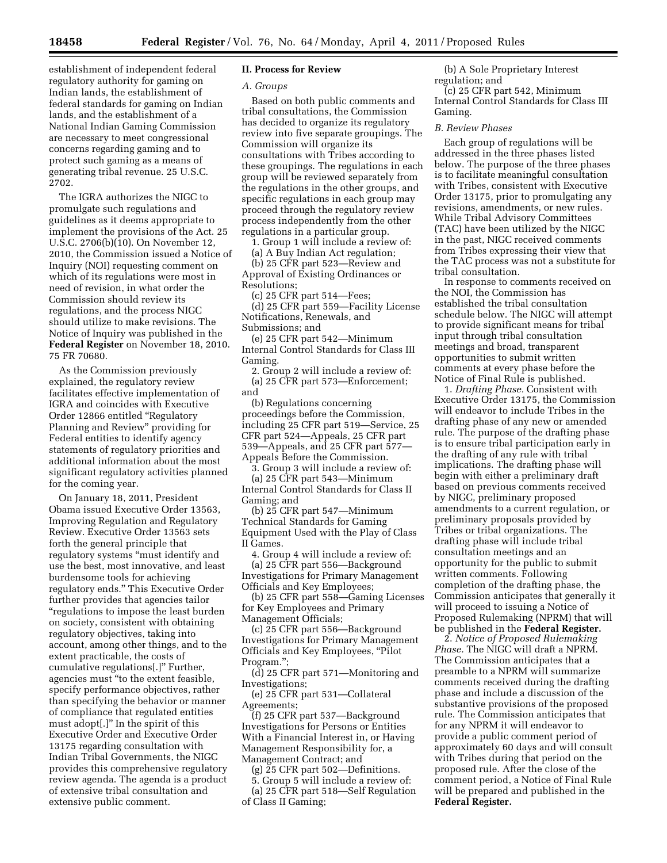establishment of independent federal regulatory authority for gaming on Indian lands, the establishment of federal standards for gaming on Indian lands, and the establishment of a National Indian Gaming Commission are necessary to meet congressional concerns regarding gaming and to protect such gaming as a means of generating tribal revenue. 25 U.S.C. 2702.

The IGRA authorizes the NIGC to promulgate such regulations and guidelines as it deems appropriate to implement the provisions of the Act. 25 U.S.C. 2706(b)(10). On November 12, 2010, the Commission issued a Notice of Inquiry (NOI) requesting comment on which of its regulations were most in need of revision, in what order the Commission should review its regulations, and the process NIGC should utilize to make revisions. The Notice of Inquiry was published in the **Federal Register** on November 18, 2010. 75 FR 70680.

As the Commission previously explained, the regulatory review facilitates effective implementation of IGRA and coincides with Executive Order 12866 entitled ''Regulatory Planning and Review'' providing for Federal entities to identify agency statements of regulatory priorities and additional information about the most significant regulatory activities planned for the coming year.

On January 18, 2011, President Obama issued Executive Order 13563, Improving Regulation and Regulatory Review. Executive Order 13563 sets forth the general principle that regulatory systems ''must identify and use the best, most innovative, and least burdensome tools for achieving regulatory ends.'' This Executive Order further provides that agencies tailor ''regulations to impose the least burden on society, consistent with obtaining regulatory objectives, taking into account, among other things, and to the extent practicable, the costs of cumulative regulations[.]'' Further, agencies must ''to the extent feasible, specify performance objectives, rather than specifying the behavior or manner of compliance that regulated entities must adopt[.]'' In the spirit of this Executive Order and Executive Order 13175 regarding consultation with Indian Tribal Governments, the NIGC provides this comprehensive regulatory review agenda. The agenda is a product of extensive tribal consultation and extensive public comment.

### **II. Process for Review**

#### *A. Groups*

Based on both public comments and tribal consultations, the Commission has decided to organize its regulatory review into five separate groupings. The Commission will organize its consultations with Tribes according to these groupings. The regulations in each group will be reviewed separately from the regulations in the other groups, and specific regulations in each group may proceed through the regulatory review process independently from the other regulations in a particular group.

1. Group 1 will include a review of:

(a) A Buy Indian Act regulation; (b) 25 CFR part 523—Review and Approval of Existing Ordinances or Resolutions;

(c) 25 CFR part 514—Fees;

(d) 25 CFR part 559—Facility License Notifications, Renewals, and Submissions; and

(e) 25 CFR part 542—Minimum Internal Control Standards for Class III Gaming.

2. Group 2 will include a review of: (a) 25 CFR part 573—Enforcement; and

(b) Regulations concerning proceedings before the Commission, including 25 CFR part 519—Service, 25 CFR part 524—Appeals, 25 CFR part 539—Appeals, and 25 CFR part 577— Appeals Before the Commission.

3. Group 3 will include a review of:

(a) 25 CFR part 543—Minimum Internal Control Standards for Class II Gaming; and

(b) 25 CFR part 547—Minimum Technical Standards for Gaming Equipment Used with the Play of Class II Games.

4. Group 4 will include a review of: (a) 25 CFR part 556—Background Investigations for Primary Management Officials and Key Employees;

(b) 25 CFR part 558—Gaming Licenses for Key Employees and Primary Management Officials;

(c) 25 CFR part 556—Background Investigations for Primary Management Officials and Key Employees, ''Pilot Program.'';

(d) 25 CFR part 571—Monitoring and Investigations;

(e) 25 CFR part 531—Collateral Agreements;

(f) 25 CFR part 537—Background Investigations for Persons or Entities With a Financial Interest in, or Having Management Responsibility for, a Management Contract; and

(g) 25 CFR part 502—Definitions.

5. Group 5 will include a review of: (a) 25 CFR part 518—Self Regulation of Class II Gaming;

(b) A Sole Proprietary Interest regulation; and

(c) 25 CFR part 542, Minimum Internal Control Standards for Class III Gaming.

#### *B. Review Phases*

Each group of regulations will be addressed in the three phases listed below. The purpose of the three phases is to facilitate meaningful consultation with Tribes, consistent with Executive Order 13175, prior to promulgating any revisions, amendments, or new rules. While Tribal Advisory Committees (TAC) have been utilized by the NIGC in the past, NIGC received comments from Tribes expressing their view that the TAC process was not a substitute for tribal consultation.

In response to comments received on the NOI, the Commission has established the tribal consultation schedule below. The NIGC will attempt to provide significant means for tribal input through tribal consultation meetings and broad, transparent opportunities to submit written comments at every phase before the Notice of Final Rule is published.

1. *Drafting Phase.* Consistent with Executive Order 13175, the Commission will endeavor to include Tribes in the drafting phase of any new or amended rule. The purpose of the drafting phase is to ensure tribal participation early in the drafting of any rule with tribal implications. The drafting phase will begin with either a preliminary draft based on previous comments received by NIGC, preliminary proposed amendments to a current regulation, or preliminary proposals provided by Tribes or tribal organizations. The drafting phase will include tribal consultation meetings and an opportunity for the public to submit written comments. Following completion of the drafting phase, the Commission anticipates that generally it will proceed to issuing a Notice of Proposed Rulemaking (NPRM) that will be published in the **Federal Register.** 

2. *Notice of Proposed Rulemaking Phase.* The NIGC will draft a NPRM. The Commission anticipates that a preamble to a NPRM will summarize comments received during the drafting phase and include a discussion of the substantive provisions of the proposed rule. The Commission anticipates that for any NPRM it will endeavor to provide a public comment period of approximately 60 days and will consult with Tribes during that period on the proposed rule. After the close of the comment period, a Notice of Final Rule will be prepared and published in the **Federal Register.**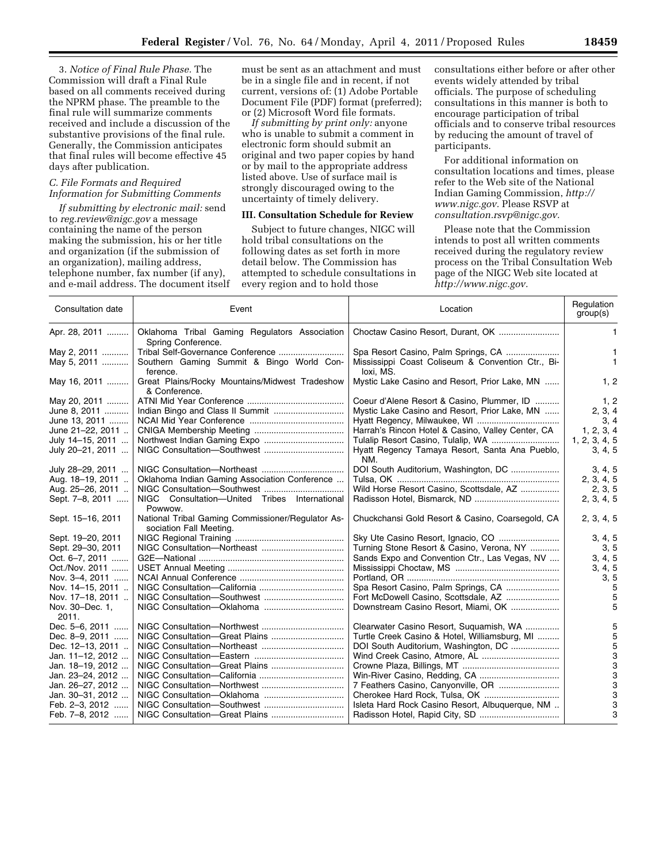3. *Notice of Final Rule Phase.* The Commission will draft a Final Rule based on all comments received during the NPRM phase. The preamble to the final rule will summarize comments received and include a discussion of the substantive provisions of the final rule. Generally, the Commission anticipates that final rules will become effective 45 days after publication.

### *C. File Formats and Required Information for Submitting Comments*

*If submitting by electronic mail:* send to *[reg.review@nigc.gov](mailto:reg.review@nigc.gov)* a message containing the name of the person making the submission, his or her title and organization (if the submission of an organization), mailing address, telephone number, fax number (if any), and e-mail address. The document itself

must be sent as an attachment and must be in a single file and in recent, if not current, versions of: (1) Adobe Portable Document File (PDF) format (preferred); or (2) Microsoft Word file formats.

*If submitting by print only:* anyone who is unable to submit a comment in electronic form should submit an original and two paper copies by hand or by mail to the appropriate address listed above. Use of surface mail is strongly discouraged owing to the uncertainty of timely delivery.

#### **III. Consultation Schedule for Review**

Subject to future changes, NIGC will hold tribal consultations on the following dates as set forth in more detail below. The Commission has attempted to schedule consultations in every region and to hold those

consultations either before or after other events widely attended by tribal officials. The purpose of scheduling consultations in this manner is both to encourage participation of tribal officials and to conserve tribal resources by reducing the amount of travel of participants.

For additional information on consultation locations and times, please refer to the Web site of the National Indian Gaming Commission, *[http://](http://www.nigc.gov)  [www.nigc.gov.](http://www.nigc.gov)* Please RSVP at *[consultation.rsvp@nigc.gov.](mailto:consultation.rsvp@nigc.gov)* 

Please note that the Commission intends to post all written comments received during the regulatory review process on the Tribal Consultation Web page of the NIGC Web site located at *[http://www.nigc.gov.](http://www.nigc.gov)* 

| Consultation date                                                                                                                                                                   | Event                                                                                          | Location                                                                                                                                                                                                                  | Regulation<br>group(s)                                       |
|-------------------------------------------------------------------------------------------------------------------------------------------------------------------------------------|------------------------------------------------------------------------------------------------|---------------------------------------------------------------------------------------------------------------------------------------------------------------------------------------------------------------------------|--------------------------------------------------------------|
| Apr. 28, 2011                                                                                                                                                                       | Oklahoma Tribal Gaming Regulators Association<br>Spring Conference.                            |                                                                                                                                                                                                                           | 1.                                                           |
| May 2, 2011<br>May 5, 2011                                                                                                                                                          | Southern Gaming Summit & Bingo World Con-<br>ference.                                          | Mississippi Coast Coliseum & Convention Ctr., Bi-<br>loxi. MS.                                                                                                                                                            | $\mathbf{1}$<br>$\mathbf{1}$                                 |
| May 16, 2011                                                                                                                                                                        | Great Plains/Rocky Mountains/Midwest Tradeshow<br>& Conference.                                | Mystic Lake Casino and Resort, Prior Lake, MN                                                                                                                                                                             | 1, 2                                                         |
| May 20, 2011<br>June 8, 2011<br>June 13, 2011                                                                                                                                       |                                                                                                | Coeur d'Alene Resort & Casino, Plummer, ID<br>Mystic Lake Casino and Resort, Prior Lake, MN                                                                                                                               | 1, 2<br>2, 3, 4<br>3, 4                                      |
| June 21-22, 2011<br>July 14-15, 2011<br>July 20-21, 2011                                                                                                                            |                                                                                                | Harrah's Rincon Hotel & Casino, Valley Center, CA<br>Hyatt Regency Tamaya Resort, Santa Ana Pueblo,<br>NM.                                                                                                                | 1, 2, 3, 4<br>1, 2, 3, 4, 5<br>3, 4, 5                       |
| July 28-29, 2011<br>Aug. 18-19, 2011<br>Aug. 25-26, 2011<br>Sept. 7-8, 2011                                                                                                         | Oklahoma Indian Gaming Association Conference<br>NIGC Consultation-United Tribes International | Wild Horse Resort Casino, Scottsdale, AZ                                                                                                                                                                                  | 3, 4, 5<br>2, 3, 4, 5<br>2, 3, 5<br>2, 3, 4, 5               |
| Sept. 15-16, 2011                                                                                                                                                                   | Powwow.<br>National Tribal Gaming Commissioner/Regulator As-<br>sociation Fall Meeting.        | Chuckchansi Gold Resort & Casino, Coarsegold, CA                                                                                                                                                                          | 2, 3, 4, 5                                                   |
| Sept. 19-20, 2011<br>Sept. 29-30, 2011<br>Oct. 6-7, 2011<br>Oct./Nov. 2011<br>Nov. 3-4, 2011<br>Nov. 14-15, 2011<br>Nov. 17-18, 2011<br>Nov. 30-Dec. 1,                             |                                                                                                | Turning Stone Resort & Casino, Verona, NY<br>Sands Expo and Convention Ctr., Las Vegas, NV<br>Spa Resort Casino, Palm Springs, CA<br>Fort McDowell Casino, Scottsdale, AZ<br>Downstream Casino Resort, Miami, OK          | 3, 4, 5<br>3, 5<br>3, 4, 5<br>3, 4, 5<br>3, 5<br>5<br>5<br>5 |
| 2011.<br>Dec. 5–6, 2011<br>Dec. 8-9, 2011<br>Dec. 12-13, 2011<br>Jan. 11-12, 2012<br>Jan. 18-19, 2012<br>Jan. 23-24, 2012<br>Jan. 26-27, 2012<br>Jan. 30-31, 2012<br>Feb. 2-3, 2012 |                                                                                                | Clearwater Casino Resort, Suguamish, WA<br>Turtle Creek Casino & Hotel, Williamsburg, MI<br>DOI South Auditorium, Washington, DC<br>7 Feathers Casino, Canyonville, OR<br>Isleta Hard Rock Casino Resort, Albuquerque, NM | 5<br>5<br>5<br>3<br>3<br>3<br>3<br>3<br>3                    |
| Feb. 7-8, 2012                                                                                                                                                                      |                                                                                                |                                                                                                                                                                                                                           | 3                                                            |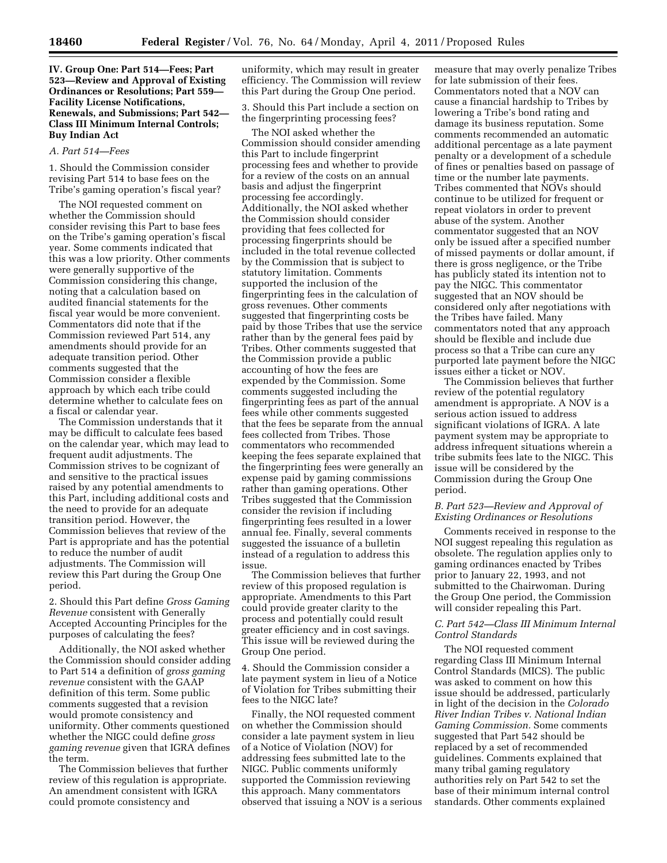# **IV. Group One: Part 514—Fees; Part 523—Review and Approval of Existing Ordinances or Resolutions; Part 559— Facility License Notifications, Renewals, and Submissions; Part 542— Class III Minimum Internal Controls; Buy Indian Act**

#### *A. Part 514—Fees*

1. Should the Commission consider revising Part 514 to base fees on the Tribe's gaming operation's fiscal year?

The NOI requested comment on whether the Commission should consider revising this Part to base fees on the Tribe's gaming operation's fiscal year. Some comments indicated that this was a low priority. Other comments were generally supportive of the Commission considering this change, noting that a calculation based on audited financial statements for the fiscal year would be more convenient. Commentators did note that if the Commission reviewed Part 514, any amendments should provide for an adequate transition period. Other comments suggested that the Commission consider a flexible approach by which each tribe could determine whether to calculate fees on a fiscal or calendar year.

The Commission understands that it may be difficult to calculate fees based on the calendar year, which may lead to frequent audit adjustments. The Commission strives to be cognizant of and sensitive to the practical issues raised by any potential amendments to this Part, including additional costs and the need to provide for an adequate transition period. However, the Commission believes that review of the Part is appropriate and has the potential to reduce the number of audit adjustments. The Commission will review this Part during the Group One period.

2. Should this Part define *Gross Gaming Revenue* consistent with Generally Accepted Accounting Principles for the purposes of calculating the fees?

Additionally, the NOI asked whether the Commission should consider adding to Part 514 a definition of *gross gaming revenue* consistent with the GAAP definition of this term. Some public comments suggested that a revision would promote consistency and uniformity. Other comments questioned whether the NIGC could define *gross gaming revenue* given that IGRA defines the term.

The Commission believes that further review of this regulation is appropriate. An amendment consistent with IGRA could promote consistency and

uniformity, which may result in greater efficiency. The Commission will review this Part during the Group One period.

3. Should this Part include a section on the fingerprinting processing fees?

The NOI asked whether the Commission should consider amending this Part to include fingerprint processing fees and whether to provide for a review of the costs on an annual basis and adjust the fingerprint processing fee accordingly. Additionally, the NOI asked whether the Commission should consider providing that fees collected for processing fingerprints should be included in the total revenue collected by the Commission that is subject to statutory limitation. Comments supported the inclusion of the fingerprinting fees in the calculation of gross revenues. Other comments suggested that fingerprinting costs be paid by those Tribes that use the service rather than by the general fees paid by Tribes. Other comments suggested that the Commission provide a public accounting of how the fees are expended by the Commission. Some comments suggested including the fingerprinting fees as part of the annual fees while other comments suggested that the fees be separate from the annual fees collected from Tribes. Those commentators who recommended keeping the fees separate explained that the fingerprinting fees were generally an expense paid by gaming commissions rather than gaming operations. Other Tribes suggested that the Commission consider the revision if including fingerprinting fees resulted in a lower annual fee. Finally, several comments suggested the issuance of a bulletin instead of a regulation to address this issue.

The Commission believes that further review of this proposed regulation is appropriate. Amendments to this Part could provide greater clarity to the process and potentially could result greater efficiency and in cost savings. This issue will be reviewed during the Group One period.

4. Should the Commission consider a late payment system in lieu of a Notice of Violation for Tribes submitting their fees to the NIGC late?

Finally, the NOI requested comment on whether the Commission should consider a late payment system in lieu of a Notice of Violation (NOV) for addressing fees submitted late to the NIGC. Public comments uniformly supported the Commission reviewing this approach. Many commentators observed that issuing a NOV is a serious

measure that may overly penalize Tribes for late submission of their fees. Commentators noted that a NOV can cause a financial hardship to Tribes by lowering a Tribe's bond rating and damage its business reputation. Some comments recommended an automatic additional percentage as a late payment penalty or a development of a schedule of fines or penalties based on passage of time or the number late payments. Tribes commented that NOVs should continue to be utilized for frequent or repeat violators in order to prevent abuse of the system. Another commentator suggested that an NOV only be issued after a specified number of missed payments or dollar amount, if there is gross negligence, or the Tribe has publicly stated its intention not to pay the NIGC. This commentator suggested that an NOV should be considered only after negotiations with the Tribes have failed. Many commentators noted that any approach should be flexible and include due process so that a Tribe can cure any purported late payment before the NIGC issues either a ticket or NOV.

The Commission believes that further review of the potential regulatory amendment is appropriate. A NOV is a serious action issued to address significant violations of IGRA. A late payment system may be appropriate to address infrequent situations wherein a tribe submits fees late to the NIGC. This issue will be considered by the Commission during the Group One period.

# *B. Part 523—Review and Approval of Existing Ordinances or Resolutions*

Comments received in response to the NOI suggest repealing this regulation as obsolete. The regulation applies only to gaming ordinances enacted by Tribes prior to January 22, 1993, and not submitted to the Chairwoman. During the Group One period, the Commission will consider repealing this Part.

# *C. Part 542—Class III Minimum Internal Control Standards*

The NOI requested comment regarding Class III Minimum Internal Control Standards (MICS). The public was asked to comment on how this issue should be addressed, particularly in light of the decision in the *Colorado River Indian Tribes v. National Indian Gaming Commission.* Some comments suggested that Part 542 should be replaced by a set of recommended guidelines. Comments explained that many tribal gaming regulatory authorities rely on Part 542 to set the base of their minimum internal control standards. Other comments explained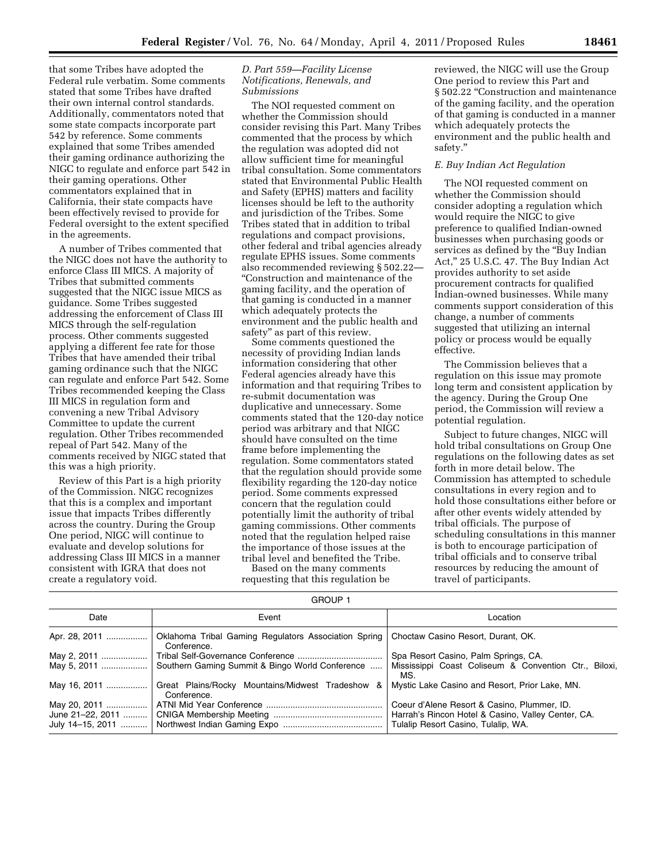that some Tribes have adopted the Federal rule verbatim. Some comments stated that some Tribes have drafted their own internal control standards. Additionally, commentators noted that some state compacts incorporate part 542 by reference. Some comments explained that some Tribes amended their gaming ordinance authorizing the NIGC to regulate and enforce part 542 in their gaming operations. Other commentators explained that in California, their state compacts have been effectively revised to provide for Federal oversight to the extent specified in the agreements.

A number of Tribes commented that the NIGC does not have the authority to enforce Class III MICS. A majority of Tribes that submitted comments suggested that the NIGC issue MICS as guidance. Some Tribes suggested addressing the enforcement of Class III MICS through the self-regulation process. Other comments suggested applying a different fee rate for those Tribes that have amended their tribal gaming ordinance such that the NIGC can regulate and enforce Part 542. Some Tribes recommended keeping the Class III MICS in regulation form and convening a new Tribal Advisory Committee to update the current regulation. Other Tribes recommended repeal of Part 542. Many of the comments received by NIGC stated that this was a high priority.

Review of this Part is a high priority of the Commission. NIGC recognizes that this is a complex and important issue that impacts Tribes differently across the country. During the Group One period, NIGC will continue to evaluate and develop solutions for addressing Class III MICS in a manner consistent with IGRA that does not create a regulatory void.

# *D. Part 559—Facility License Notifications, Renewals, and Submissions*

The NOI requested comment on whether the Commission should consider revising this Part. Many Tribes commented that the process by which the regulation was adopted did not allow sufficient time for meaningful tribal consultation. Some commentators stated that Environmental Public Health and Safety (EPHS) matters and facility licenses should be left to the authority and jurisdiction of the Tribes. Some Tribes stated that in addition to tribal regulations and compact provisions, other federal and tribal agencies already regulate EPHS issues. Some comments also recommended reviewing § 502.22— ''Construction and maintenance of the gaming facility, and the operation of that gaming is conducted in a manner which adequately protects the environment and the public health and safety'' as part of this review.

Some comments questioned the necessity of providing Indian lands information considering that other Federal agencies already have this information and that requiring Tribes to re-submit documentation was duplicative and unnecessary. Some comments stated that the 120-day notice period was arbitrary and that NIGC should have consulted on the time frame before implementing the regulation. Some commentators stated that the regulation should provide some flexibility regarding the 120-day notice period. Some comments expressed concern that the regulation could potentially limit the authority of tribal gaming commissions. Other comments noted that the regulation helped raise the importance of those issues at the tribal level and benefited the Tribe.

Based on the many comments requesting that this regulation be

reviewed, the NIGC will use the Group One period to review this Part and § 502.22 ''Construction and maintenance of the gaming facility, and the operation of that gaming is conducted in a manner which adequately protects the environment and the public health and safety.''

### *E. Buy Indian Act Regulation*

The NOI requested comment on whether the Commission should consider adopting a regulation which would require the NIGC to give preference to qualified Indian-owned businesses when purchasing goods or services as defined by the ''Buy Indian Act,'' 25 U.S.C. 47. The Buy Indian Act provides authority to set aside procurement contracts for qualified Indian-owned businesses. While many comments support consideration of this change, a number of comments suggested that utilizing an internal policy or process would be equally effective.

The Commission believes that a regulation on this issue may promote long term and consistent application by the agency. During the Group One period, the Commission will review a potential regulation.

Subject to future changes, NIGC will hold tribal consultations on Group One regulations on the following dates as set forth in more detail below. The Commission has attempted to schedule consultations in every region and to hold those consultations either before or after other events widely attended by tribal officials. The purpose of scheduling consultations in this manner is both to encourage participation of tribal officials and to conserve tribal resources by reducing the amount of travel of participants.

GROUP 1

| Date             | Event                                                               | Location                                                                                  |
|------------------|---------------------------------------------------------------------|-------------------------------------------------------------------------------------------|
| Apr. 28, 2011    | Oklahoma Tribal Gaming Regulators Association Spring<br>Conference. | Choctaw Casino Resort, Durant, OK.                                                        |
| May 2, 2011      |                                                                     | Spa Resort Casino, Palm Springs, CA.                                                      |
| May 5, 2011      | Southern Gaming Summit & Bingo World Conference                     | Mississippi Coast Coliseum & Convention Ctr., Biloxi,<br>MS.                              |
| May 16, 2011     | Great Plains/Rocky Mountains/Midwest Tradeshow<br>&<br>Conference.  | Mystic Lake Casino and Resort, Prior Lake, MN.                                            |
| May 20, 2011     |                                                                     | Coeur d'Alene Resort & Casino, Plummer, ID.                                               |
| July 14-15, 2011 |                                                                     | Harrah's Rincon Hotel & Casino, Valley Center, CA.<br>Tulalip Resort Casino, Tulalip, WA. |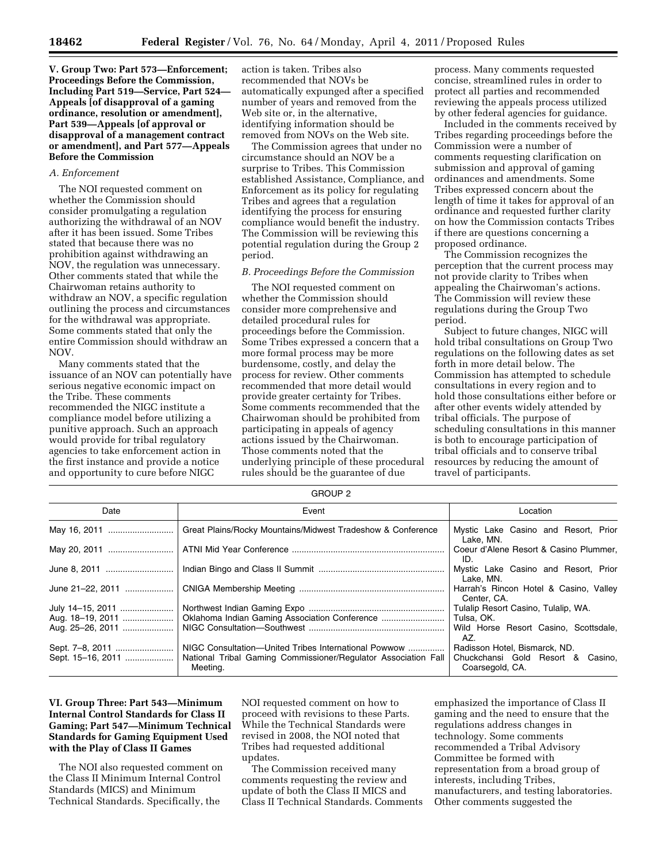**V. Group Two: Part 573—Enforcement; Proceedings Before the Commission, Including Part 519—Service, Part 524— Appeals [of disapproval of a gaming ordinance, resolution or amendment], Part 539—Appeals [of approval or disapproval of a management contract or amendment], and Part 577—Appeals Before the Commission** 

## *A. Enforcement*

The NOI requested comment on whether the Commission should consider promulgating a regulation authorizing the withdrawal of an NOV after it has been issued. Some Tribes stated that because there was no prohibition against withdrawing an NOV, the regulation was unnecessary. Other comments stated that while the Chairwoman retains authority to withdraw an NOV, a specific regulation outlining the process and circumstances for the withdrawal was appropriate. Some comments stated that only the entire Commission should withdraw an NOV.

Many comments stated that the issuance of an NOV can potentially have serious negative economic impact on the Tribe. These comments recommended the NIGC institute a compliance model before utilizing a punitive approach. Such an approach would provide for tribal regulatory agencies to take enforcement action in the first instance and provide a notice and opportunity to cure before NIGC

action is taken. Tribes also recommended that NOVs be automatically expunged after a specified number of years and removed from the Web site or, in the alternative, identifying information should be removed from NOVs on the Web site.

The Commission agrees that under no circumstance should an NOV be a surprise to Tribes. This Commission established Assistance, Compliance, and Enforcement as its policy for regulating Tribes and agrees that a regulation identifying the process for ensuring compliance would benefit the industry. The Commission will be reviewing this potential regulation during the Group 2 period.

#### *B. Proceedings Before the Commission*

The NOI requested comment on whether the Commission should consider more comprehensive and detailed procedural rules for proceedings before the Commission. Some Tribes expressed a concern that a more formal process may be more burdensome, costly, and delay the process for review. Other comments recommended that more detail would provide greater certainty for Tribes. Some comments recommended that the Chairwoman should be prohibited from participating in appeals of agency actions issued by the Chairwoman. Those comments noted that the underlying principle of these procedural rules should be the guarantee of due

process. Many comments requested concise, streamlined rules in order to protect all parties and recommended reviewing the appeals process utilized by other federal agencies for guidance.

Included in the comments received by Tribes regarding proceedings before the Commission were a number of comments requesting clarification on submission and approval of gaming ordinances and amendments. Some Tribes expressed concern about the length of time it takes for approval of an ordinance and requested further clarity on how the Commission contacts Tribes if there are questions concerning a proposed ordinance.

The Commission recognizes the perception that the current process may not provide clarity to Tribes when appealing the Chairwoman's actions. The Commission will review these regulations during the Group Two period.

Subject to future changes, NIGC will hold tribal consultations on Group Two regulations on the following dates as set forth in more detail below. The Commission has attempted to schedule consultations in every region and to hold those consultations either before or after other events widely attended by tribal officials. The purpose of scheduling consultations in this manner is both to encourage participation of tribal officials and to conserve tribal resources by reducing the amount of travel of participants.

GROUP 2

| anoon z          |                                                                                                                                    |                                                                                       |
|------------------|------------------------------------------------------------------------------------------------------------------------------------|---------------------------------------------------------------------------------------|
| Date             | Event                                                                                                                              | Location                                                                              |
|                  | Great Plains/Rocky Mountains/Midwest Tradeshow & Conference                                                                        | Mystic Lake Casino and Resort, Prior<br>Lake. MN.                                     |
| May 20, 2011     |                                                                                                                                    | Coeur d'Alene Resort & Casino Plummer,<br>ID                                          |
| June 8, 2011     |                                                                                                                                    | Mystic Lake Casino and Resort, Prior<br>Lake. MN.                                     |
| June 21-22, 2011 |                                                                                                                                    | Harrah's Rincon Hotel & Casino, Valley<br>Center, CA.                                 |
| July 14-15, 2011 |                                                                                                                                    | Tulalip Resort Casino, Tulalip, WA.                                                   |
| Aug. 18-19, 2011 |                                                                                                                                    | Tulsa, OK.                                                                            |
| Aug. 25–26, 2011 |                                                                                                                                    | Wild Horse Resort Casino, Scottsdale,<br>AZ.                                          |
|                  | NIGC Consultation—United Tribes International Powwow<br>National Tribal Gaming Commissioner/Regulator Association Fall<br>Meeting. | Radisson Hotel, Bismarck, ND.<br>Chuckchansi Gold Resort & Casino,<br>Coarsegold, CA. |

# **VI. Group Three: Part 543—Minimum Internal Control Standards for Class II Gaming; Part 547—Minimum Technical Standards for Gaming Equipment Used with the Play of Class II Games**

The NOI also requested comment on the Class II Minimum Internal Control Standards (MICS) and Minimum Technical Standards. Specifically, the

NOI requested comment on how to proceed with revisions to these Parts. While the Technical Standards were revised in 2008, the NOI noted that Tribes had requested additional updates.

The Commission received many comments requesting the review and update of both the Class II MICS and Class II Technical Standards. Comments

emphasized the importance of Class II gaming and the need to ensure that the regulations address changes in technology. Some comments recommended a Tribal Advisory Committee be formed with representation from a broad group of interests, including Tribes, manufacturers, and testing laboratories. Other comments suggested the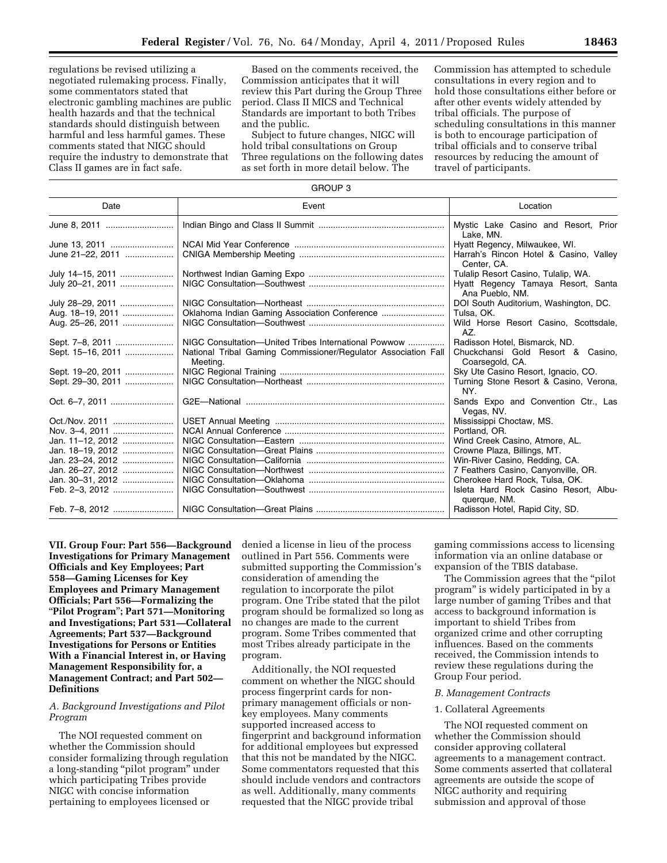regulations be revised utilizing a negotiated rulemaking process. Finally, some commentators stated that electronic gambling machines are public health hazards and that the technical standards should distinguish between

harmful and less harmful games. These comments stated that NIGC should require the industry to demonstrate that Class II games are in fact safe.

Based on the comments received, the Commission anticipates that it will review this Part during the Group Three period. Class II MICS and Technical Standards are important to both Tribes and the public.

Subject to future changes, NIGC will hold tribal consultations on Group Three regulations on the following dates as set forth in more detail below. The

Commission has attempted to schedule consultations in every region and to hold those consultations either before or after other events widely attended by tribal officials. The purpose of scheduling consultations in this manner is both to encourage participation of tribal officials and to conserve tribal resources by reducing the amount of travel of participants.

GROUP 3

| anuur s           |                                                                            |                                                       |
|-------------------|----------------------------------------------------------------------------|-------------------------------------------------------|
| Date              | Event                                                                      | Location                                              |
| June 8, 2011      |                                                                            | Mystic Lake Casino and Resort, Prior<br>Lake, MN.     |
| June 13, 2011     |                                                                            | Hyatt Regency, Milwaukee, WI.                         |
| June 21-22, 2011  |                                                                            | Harrah's Rincon Hotel & Casino, Valley<br>Center, CA. |
| July 14–15, 2011  |                                                                            | Tulalip Resort Casino, Tulalip, WA.                   |
| July 20-21, 2011  |                                                                            | Hyatt Regency Tamaya Resort, Santa<br>Ana Pueblo, NM. |
| July 28–29, 2011  |                                                                            | DOI South Auditorium, Washington, DC.                 |
| Aug. 18-19, 2011  | Oklahoma Indian Gaming Association Conference                              | Tulsa, OK.                                            |
| Aug. 25-26, 2011  |                                                                            | Wild Horse Resort Casino, Scottsdale,<br>AZ.          |
|                   | NIGC Consultation-United Tribes International Powwow                       | Radisson Hotel, Bismarck, ND.                         |
| Sept. 15-16, 2011 | National Tribal Gaming Commissioner/Regulator Association Fall<br>Meeting. | Chuckchansi Gold Resort & Casino,<br>Coarsegold, CA.  |
| Sept. 19-20, 2011 |                                                                            | Sky Ute Casino Resort, Ignacio, CO.                   |
| Sept. 29-30, 2011 |                                                                            | Turning Stone Resort & Casino, Verona,<br>NY.         |
| Oct. 6-7, 2011    |                                                                            | Sands Expo and Convention Ctr., Las<br>Vegas, NV.     |
|                   |                                                                            | Mississippi Choctaw, MS.                              |
| Nov. 3-4, 2011    |                                                                            | Portland, OR.                                         |
| Jan. 11-12, 2012  |                                                                            | Wind Creek Casino, Atmore, AL.                        |
| Jan. 18–19, 2012  |                                                                            | Crowne Plaza, Billings, MT.                           |
| Jan. 23-24, 2012  |                                                                            | Win-River Casino, Redding, CA.                        |
| Jan. 26-27, 2012  |                                                                            | 7 Feathers Casino, Canyonville, OR.                   |
| Jan. 30-31, 2012  |                                                                            | Cherokee Hard Rock, Tulsa, OK.                        |
| Feb. 2-3, 2012    |                                                                            | Isleta Hard Rock Casino Resort, Albu-<br>querque, NM. |
|                   |                                                                            | Radisson Hotel, Rapid City, SD.                       |

**VII. Group Four: Part 556—Background Investigations for Primary Management Officials and Key Employees; Part 558—Gaming Licenses for Key Employees and Primary Management Officials; Part 556—Formalizing the**  ''**Pilot Program**''**; Part 571—Monitoring and Investigations; Part 531—Collateral Agreements; Part 537—Background Investigations for Persons or Entities With a Financial Interest in, or Having Management Responsibility for, a Management Contract; and Part 502— Definitions** 

# *A. Background Investigations and Pilot Program*

The NOI requested comment on whether the Commission should consider formalizing through regulation a long-standing ''pilot program'' under which participating Tribes provide NIGC with concise information pertaining to employees licensed or

denied a license in lieu of the process outlined in Part 556. Comments were submitted supporting the Commission's consideration of amending the regulation to incorporate the pilot program. One Tribe stated that the pilot program should be formalized so long as no changes are made to the current program. Some Tribes commented that most Tribes already participate in the program.

Additionally, the NOI requested comment on whether the NIGC should process fingerprint cards for nonprimary management officials or nonkey employees. Many comments supported increased access to fingerprint and background information for additional employees but expressed that this not be mandated by the NIGC. Some commentators requested that this should include vendors and contractors as well. Additionally, many comments requested that the NIGC provide tribal

gaming commissions access to licensing information via an online database or expansion of the TBIS database.

The Commission agrees that the ''pilot program'' is widely participated in by a large number of gaming Tribes and that access to background information is important to shield Tribes from organized crime and other corrupting influences. Based on the comments received, the Commission intends to review these regulations during the Group Four period.

#### *B. Management Contracts*

### 1. Collateral Agreements

The NOI requested comment on whether the Commission should consider approving collateral agreements to a management contract. Some comments asserted that collateral agreements are outside the scope of NIGC authority and requiring submission and approval of those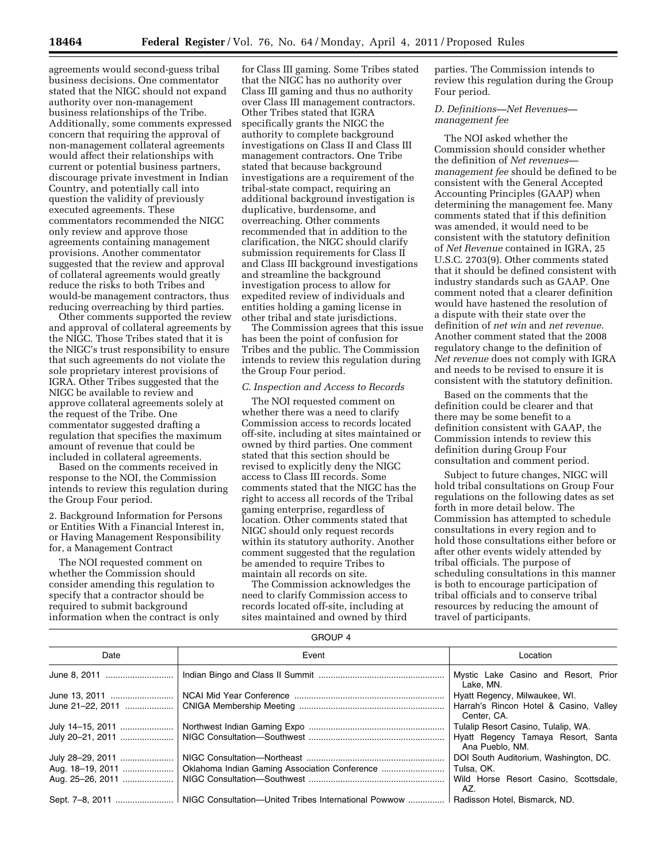agreements would second-guess tribal business decisions. One commentator stated that the NIGC should not expand authority over non-management business relationships of the Tribe. Additionally, some comments expressed concern that requiring the approval of non-management collateral agreements would affect their relationships with current or potential business partners, discourage private investment in Indian Country, and potentially call into question the validity of previously executed agreements. These commentators recommended the NIGC only review and approve those agreements containing management provisions. Another commentator suggested that the review and approval of collateral agreements would greatly reduce the risks to both Tribes and would-be management contractors, thus reducing overreaching by third parties.

Other comments supported the review and approval of collateral agreements by the NIGC. Those Tribes stated that it is the NIGC's trust responsibility to ensure that such agreements do not violate the sole proprietary interest provisions of IGRA. Other Tribes suggested that the NIGC be available to review and approve collateral agreements solely at the request of the Tribe. One commentator suggested drafting a regulation that specifies the maximum amount of revenue that could be included in collateral agreements.

Based on the comments received in response to the NOI, the Commission intends to review this regulation during the Group Four period.

2. Background Information for Persons or Entities With a Financial Interest in, or Having Management Responsibility for, a Management Contract

The NOI requested comment on whether the Commission should consider amending this regulation to specify that a contractor should be required to submit background information when the contract is only

for Class III gaming. Some Tribes stated that the NIGC has no authority over Class III gaming and thus no authority over Class III management contractors. Other Tribes stated that IGRA specifically grants the NIGC the authority to complete background investigations on Class II and Class III management contractors. One Tribe stated that because background investigations are a requirement of the tribal-state compact, requiring an additional background investigation is duplicative, burdensome, and overreaching. Other comments recommended that in addition to the clarification, the NIGC should clarify submission requirements for Class II and Class III background investigations and streamline the background investigation process to allow for expedited review of individuals and entities holding a gaming license in other tribal and state jurisdictions.

The Commission agrees that this issue has been the point of confusion for Tribes and the public. The Commission intends to review this regulation during the Group Four period.

#### *C. Inspection and Access to Records*

The NOI requested comment on whether there was a need to clarify Commission access to records located off-site, including at sites maintained or owned by third parties. One comment stated that this section should be revised to explicitly deny the NIGC access to Class III records. Some comments stated that the NIGC has the right to access all records of the Tribal gaming enterprise, regardless of location. Other comments stated that NIGC should only request records within its statutory authority. Another comment suggested that the regulation be amended to require Tribes to maintain all records on site.

The Commission acknowledges the need to clarify Commission access to records located off-site, including at sites maintained and owned by third

GROUP 4

parties. The Commission intends to review this regulation during the Group Four period.

## *D. Definitions—Net Revenues management fee*

The NOI asked whether the Commission should consider whether the definition of *Net revenues management fee* should be defined to be consistent with the General Accepted Accounting Principles (GAAP) when determining the management fee. Many comments stated that if this definition was amended, it would need to be consistent with the statutory definition of *Net Revenue* contained in IGRA, 25 U.S.C. 2703(9). Other comments stated that it should be defined consistent with industry standards such as GAAP. One comment noted that a clearer definition would have hastened the resolution of a dispute with their state over the definition of *net win* and *net revenue.*  Another comment stated that the 2008 regulatory change to the definition of *Net revenue* does not comply with IGRA and needs to be revised to ensure it is consistent with the statutory definition.

Based on the comments that the definition could be clearer and that there may be some benefit to a definition consistent with GAAP, the Commission intends to review this definition during Group Four consultation and comment period.

Subject to future changes, NIGC will hold tribal consultations on Group Four regulations on the following dates as set forth in more detail below. The Commission has attempted to schedule consultations in every region and to hold those consultations either before or after other events widely attended by tribal officials. The purpose of scheduling consultations in this manner is both to encourage participation of tribal officials and to conserve tribal resources by reducing the amount of travel of participants.

| <b>UILUUI</b> 7  |                                                                         |                                                       |
|------------------|-------------------------------------------------------------------------|-------------------------------------------------------|
| Date             | Event                                                                   | Location                                              |
| June 8, 2011     |                                                                         | Mystic Lake Casino and Resort, Prior<br>Lake. MN.     |
| June 13. 2011    |                                                                         | Hyatt Regency, Milwaukee, WI.                         |
| June 21-22, 2011 |                                                                         | Harrah's Rincon Hotel & Casino, Valley<br>Center, CA. |
| July 14-15, 2011 |                                                                         | Tulalip Resort Casino, Tulalip, WA.                   |
| July 20-21, 2011 |                                                                         | Hyatt Regency Tamaya Resort, Santa<br>Ana Pueblo, NM. |
| July 28-29, 2011 |                                                                         | DOI South Auditorium, Washington, DC.                 |
| Aug. 18–19, 2011 |                                                                         | Tulsa. OK.                                            |
| Aug. 25–26, 2011 |                                                                         | Wild Horse Resort Casino, Scottsdale,<br>AZ.          |
|                  | Sept. 7–8, 2011    NIGC Consultation—United Tribes International Powwow | Radisson Hotel, Bismarck, ND.                         |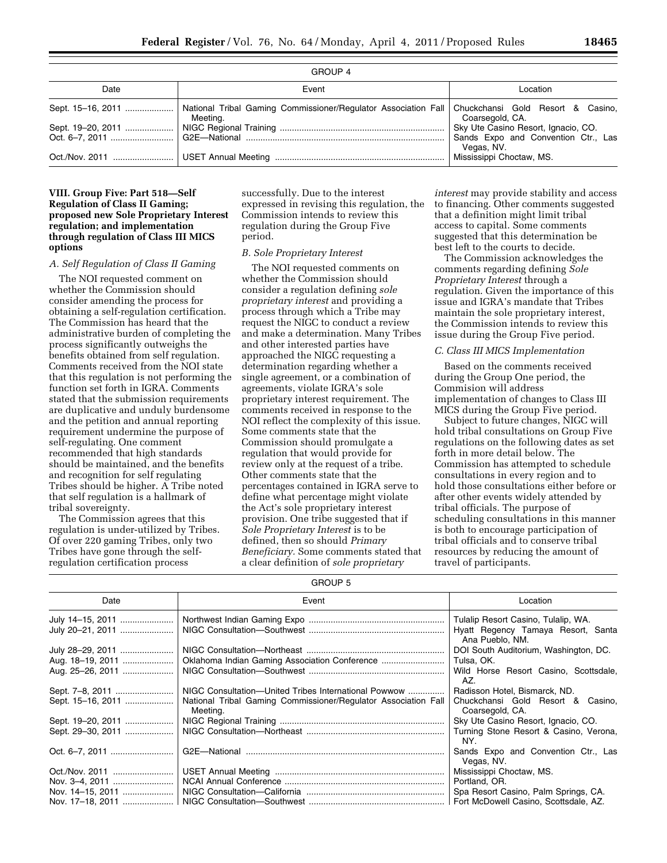| GROUP 4 |          |                                                   |
|---------|----------|---------------------------------------------------|
| Date    | Event    | Location                                          |
|         | Meeting. | Coarsegold, CA.                                   |
|         |          |                                                   |
|         |          | Sands Expo and Convention Ctr., Las<br>Vegas, NV. |
|         |          | Mississippi Choctaw, MS.                          |

#### GROUP 4

## **VIII. Group Five: Part 518—Self Regulation of Class II Gaming; proposed new Sole Proprietary Interest regulation; and implementation through regulation of Class III MICS options**

#### *A. Self Regulation of Class II Gaming*

The NOI requested comment on whether the Commission should consider amending the process for obtaining a self-regulation certification. The Commission has heard that the administrative burden of completing the process significantly outweighs the benefits obtained from self regulation. Comments received from the NOI state that this regulation is not performing the function set forth in IGRA. Comments stated that the submission requirements are duplicative and unduly burdensome and the petition and annual reporting requirement undermine the purpose of self-regulating. One comment recommended that high standards should be maintained, and the benefits and recognition for self regulating Tribes should be higher. A Tribe noted that self regulation is a hallmark of tribal sovereignty.

The Commission agrees that this regulation is under-utilized by Tribes. Of over 220 gaming Tribes, only two Tribes have gone through the selfregulation certification process

successfully. Due to the interest expressed in revising this regulation, the Commission intends to review this regulation during the Group Five period.

#### *B. Sole Proprietary Interest*

The NOI requested comments on whether the Commission should consider a regulation defining *sole proprietary interest* and providing a process through which a Tribe may request the NIGC to conduct a review and make a determination. Many Tribes and other interested parties have approached the NIGC requesting a determination regarding whether a single agreement, or a combination of agreements, violate IGRA's sole proprietary interest requirement. The comments received in response to the NOI reflect the complexity of this issue. Some comments state that the Commission should promulgate a regulation that would provide for review only at the request of a tribe. Other comments state that the percentages contained in IGRA serve to define what percentage might violate the Act's sole proprietary interest provision. One tribe suggested that if *Sole Proprietary Interest* is to be defined, then so should *Primary Beneficiary.* Some comments stated that a clear definition of *sole proprietary* 

*interest* may provide stability and access to financing. Other comments suggested that a definition might limit tribal access to capital. Some comments suggested that this determination be best left to the courts to decide.

The Commission acknowledges the comments regarding defining *Sole Proprietary Interest* through a regulation. Given the importance of this issue and IGRA's mandate that Tribes maintain the sole proprietary interest, the Commission intends to review this issue during the Group Five period.

#### *C. Class III MICS Implementation*

Based on the comments received during the Group One period, the Commision will address implementation of changes to Class III MICS during the Group Five period.

Subject to future changes, NIGC will hold tribal consultations on Group Five regulations on the following dates as set forth in more detail below. The Commission has attempted to schedule consultations in every region and to hold those consultations either before or after other events widely attended by tribal officials. The purpose of scheduling consultations in this manner is both to encourage participation of tribal officials and to conserve tribal resources by reducing the amount of travel of participants.

| GROUP 5           |                                                                            |                                                       |
|-------------------|----------------------------------------------------------------------------|-------------------------------------------------------|
| Date              | Event                                                                      | Location                                              |
| July 14–15, 2011  |                                                                            | Tulalip Resort Casino, Tulalip, WA.                   |
| July 20-21, 2011  |                                                                            | Hyatt Regency Tamaya Resort, Santa<br>Ana Pueblo, NM. |
| July 28-29, 2011  |                                                                            | DOI South Auditorium, Washington, DC.                 |
| Aug. 18-19, 2011  |                                                                            | Tulsa, OK.                                            |
| Aug. 25–26, 2011  |                                                                            | Wild Horse Resort Casino, Scottsdale,<br>AZ.          |
| Sept. 7–8, 2011   | NIGC Consultation--- United Tribes International Powwow                    | Radisson Hotel, Bismarck, ND.                         |
| Sept. 15–16, 2011 | National Tribal Gaming Commissioner/Regulator Association Fall<br>Meeting. | Chuckchansi Gold Resort & Casino,<br>Coarsegold, CA.  |
| Sept. 19–20, 2011 |                                                                            | Sky Ute Casino Resort, Ignacio, CO.                   |
| Sept. 29–30, 2011 |                                                                            | Turning Stone Resort & Casino, Verona,<br>NY.         |
| Oct. 6–7, 2011    |                                                                            | Sands Expo and Convention Ctr., Las<br>Vegas, NV.     |
| Oct./Nov. 2011    |                                                                            | Mississippi Choctaw, MS.                              |
| Nov. 3-4, 2011    |                                                                            | Portland, OR.                                         |
| Nov. 14–15, 2011  |                                                                            | Spa Resort Casino, Palm Springs, CA.                  |
| Nov. 17–18, 2011  |                                                                            | Fort McDowell Casino, Scottsdale, AZ.                 |

GROUP 5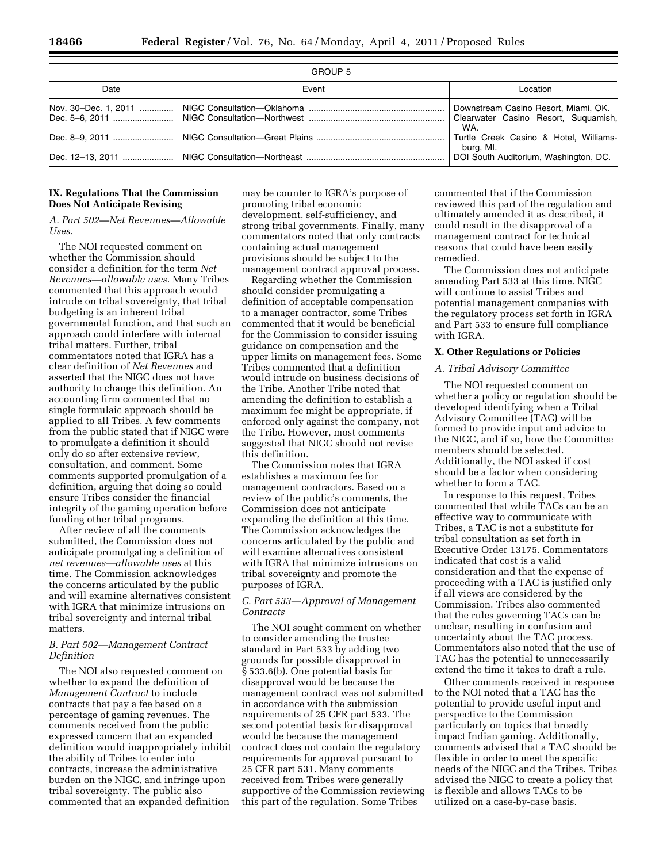| Date                 | Event | Location                                                                            |
|----------------------|-------|-------------------------------------------------------------------------------------|
| Nov. 30–Dec. 1, 2011 |       | Downstream Casino Resort, Miami, OK.<br>Clearwater Casino Resort, Suguamish,<br>WA. |
|                      |       | Turtle Creek Casino & Hotel, Williams-<br>burg, MI.                                 |
| Dec. 12–13. 2011     |       | DOI South Auditorium, Washington, DC.                                               |

## **IX. Regulations That the Commission Does Not Anticipate Revising**

## *A. Part 502—Net Revenues—Allowable Uses.*

The NOI requested comment on whether the Commission should consider a definition for the term *Net Revenues—allowable uses.* Many Tribes commented that this approach would intrude on tribal sovereignty, that tribal budgeting is an inherent tribal governmental function, and that such an approach could interfere with internal tribal matters. Further, tribal commentators noted that IGRA has a clear definition of *Net Revenues* and asserted that the NIGC does not have authority to change this definition. An accounting firm commented that no single formulaic approach should be applied to all Tribes. A few comments from the public stated that if NIGC were to promulgate a definition it should only do so after extensive review, consultation, and comment. Some comments supported promulgation of a definition, arguing that doing so could ensure Tribes consider the financial integrity of the gaming operation before funding other tribal programs.

After review of all the comments submitted, the Commission does not anticipate promulgating a definition of *net revenues—allowable uses* at this time. The Commission acknowledges the concerns articulated by the public and will examine alternatives consistent with IGRA that minimize intrusions on tribal sovereignty and internal tribal matters.

## *B. Part 502—Management Contract Definition*

The NOI also requested comment on whether to expand the definition of *Management Contract* to include contracts that pay a fee based on a percentage of gaming revenues. The comments received from the public expressed concern that an expanded definition would inappropriately inhibit the ability of Tribes to enter into contracts, increase the administrative burden on the NIGC, and infringe upon tribal sovereignty. The public also commented that an expanded definition

may be counter to IGRA's purpose of promoting tribal economic development, self-sufficiency, and strong tribal governments. Finally, many commentators noted that only contracts containing actual management provisions should be subject to the management contract approval process.

Regarding whether the Commission should consider promulgating a definition of acceptable compensation to a manager contractor, some Tribes commented that it would be beneficial for the Commission to consider issuing guidance on compensation and the upper limits on management fees. Some Tribes commented that a definition would intrude on business decisions of the Tribe. Another Tribe noted that amending the definition to establish a maximum fee might be appropriate, if enforced only against the company, not the Tribe. However, most comments suggested that NIGC should not revise this definition.

The Commission notes that IGRA establishes a maximum fee for management contractors. Based on a review of the public's comments, the Commission does not anticipate expanding the definition at this time. The Commission acknowledges the concerns articulated by the public and will examine alternatives consistent with IGRA that minimize intrusions on tribal sovereignty and promote the purposes of IGRA.

## *C. Part 533—Approval of Management Contracts*

The NOI sought comment on whether to consider amending the trustee standard in Part 533 by adding two grounds for possible disapproval in § 533.6(b). One potential basis for disapproval would be because the management contract was not submitted in accordance with the submission requirements of 25 CFR part 533. The second potential basis for disapproval would be because the management contract does not contain the regulatory requirements for approval pursuant to 25 CFR part 531. Many comments received from Tribes were generally supportive of the Commission reviewing this part of the regulation. Some Tribes

commented that if the Commission reviewed this part of the regulation and ultimately amended it as described, it could result in the disapproval of a management contract for technical reasons that could have been easily remedied.

The Commission does not anticipate amending Part 533 at this time. NIGC will continue to assist Tribes and potential management companies with the regulatory process set forth in IGRA and Part 533 to ensure full compliance with IGRA.

## **X. Other Regulations or Policies**

# *A. Tribal Advisory Committee*

The NOI requested comment on whether a policy or regulation should be developed identifying when a Tribal Advisory Committee (TAC) will be formed to provide input and advice to the NIGC, and if so, how the Committee members should be selected. Additionally, the NOI asked if cost should be a factor when considering whether to form a TAC.

In response to this request, Tribes commented that while TACs can be an effective way to communicate with Tribes, a TAC is not a substitute for tribal consultation as set forth in Executive Order 13175. Commentators indicated that cost is a valid consideration and that the expense of proceeding with a TAC is justified only if all views are considered by the Commission. Tribes also commented that the rules governing TACs can be unclear, resulting in confusion and uncertainty about the TAC process. Commentators also noted that the use of TAC has the potential to unnecessarily extend the time it takes to draft a rule.

Other comments received in response to the NOI noted that a TAC has the potential to provide useful input and perspective to the Commission particularly on topics that broadly impact Indian gaming. Additionally, comments advised that a TAC should be flexible in order to meet the specific needs of the NIGC and the Tribes. Tribes advised the NIGC to create a policy that is flexible and allows TACs to be utilized on a case-by-case basis.

GROUP 5